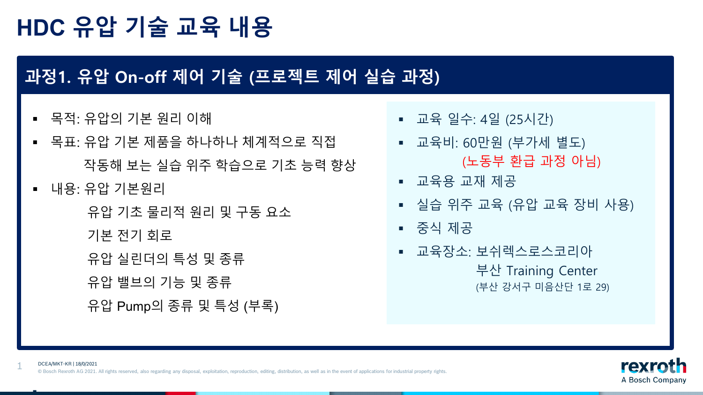### **과정1. 유압 On-off 제어 기술 (프로젝트 제어 실습 과정)**

- 목적: 유압의 기본 원리 이해
- 목표: 유압 기본 제품을 하나하나 체계적으로 직접 작동해 보는 실습 위주 학습으로 기초 능력 향상
- 내용: 유압 기본워리

1

h

유압 기초 물리적 원리 및 구동 요소

기본 전기 회로

유압 실린더의 특성 및 종류

유압 밸브의 기능 및 종류

유압 Pump의 종류 및 특성 (부록)

- 교육 일수: 4일 (25시간)
- 교육비: 60만원 (부가세 별도) (노동부 환급 과정 아님)
- 교육용 교재 제공
- 실습 위주 교육 (유압 교육 장비 사용)
- 중식 제공
	- 교육장소: 보쉬렉스로스코리아 부산 Training Center (부산 강서구 미음산단 1로 29)

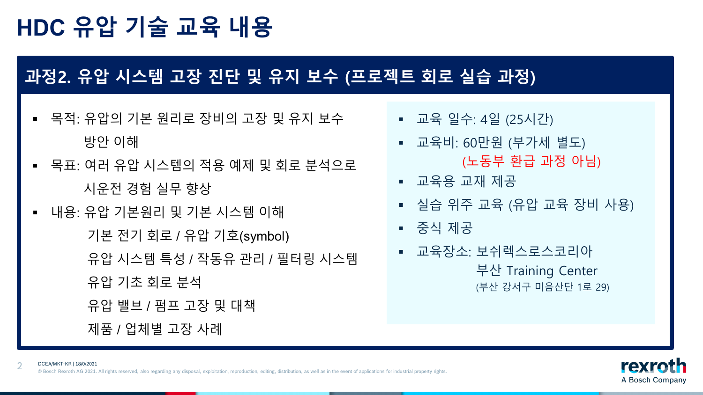2

#### **과정2. 유압 시스템 고장 진단 및 유지 보수 (프로젝트 회로 실습 과정)**

- 목적: 유압의 기본 원리로 장비의 고장 및 유지 보수 방안 이해
- 목표: 여러 유압 시스템의 적용 예제 및 회로 분석으로 시운전 경험 실무 향상
- 내용: 유압 기본원리 및 기본 시스템 이해 기본 전기 회로 / 유압 기호(symbol) 유압 시스템 특성 / 작동유 관리 / 필터링 시스템 유압 기초 회로 분석 유압 밸브 / 펌프 고장 및 대책 제품 / 업체별 고장 사례
- 교육 일수: 4일 (25시간)
- 교육비: 60만원 (부가세 별도) (노동부 환급 과정 아님)
- 교육용 교재 제공
- 실습 위주 교육 (유압 교육 장비 사용)
- 중식 제공
	- 교육장소: 보쉬렉스로스코리아 부산 Training Center (부산 강서구 미음산단 1로 29)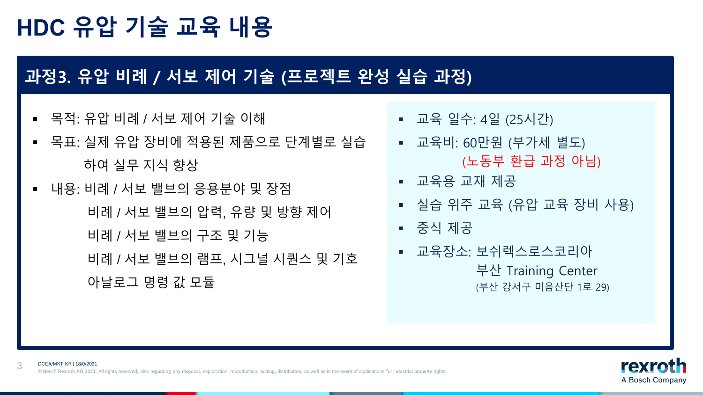### **과정3. 유압 비례 / 서보 제어 기술 (프로젝트 완성 실습 과정)**

목적: 유압 비례 / 서보 제어 기술 이해

- 목표: 실제 유압 장비에 적용된 제품으로 단계별로 실습 하여 실무 지식 향상
- 내용: 비례 / 서보 밸브의 응용분야 및 장점 비례 / 서보 밸브의 압력, 유량 및 방향 제어 비례 / 서보 밸브의 구조 및 기능 비례 / 서보 밸브의 램프, 시그널 시퀀스 및 기호 아날로그 명령 값 모듈
- 교육 일수: 4일 (25시간)
- 교육비: 60만원 (부가세 별도) (노동부 환급 과정 아님)
- 교육용 교재 제공
- 실습 위주 교육 (유압 교육 장비 사용)
- 중식 제공
	- 교육장소: 보쉬렉스로스코리아 부산 Training Center (부산 강서구 미음산단 1로 29)

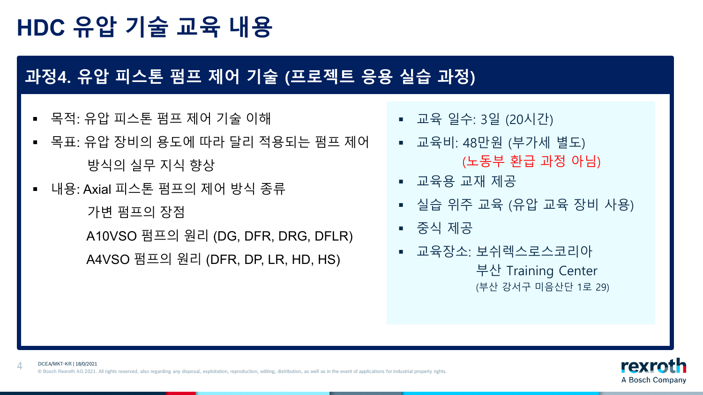### **과정4. 유압 피스톤 펌프 제어 기술 (프로젝트 응용 실습 과정)**

- 목적: 유압 피스톤 펌프 제어 기술 이해
- 목표: 유압 장비의 용도에 따라 달리 적용되는 펌프 제어 방식의 실무 지식 향상
- 내용: Axial 피스톤 펌프의 제어 방식 종류

가변 펌프의 장점

A10VSO 펌프의 원리 (DG, DFR, DRG, DFLR) A4VSO 펌프의 원리 (DFR, DP, LR, HD, HS)

- 교육 일수: 3일 (20시간)
- 교육비: 48만원 (부가세 별도) (노동부 환급 과정 아님)
- 교육용 교재 제공
- 실습 위주 교육 (유압 교육 장비 사용)
- 중식 제공
	- 교육장소: 보쉬렉스로스코리아 부산 Training Center (부산 강서구 미음산단 1로 29)

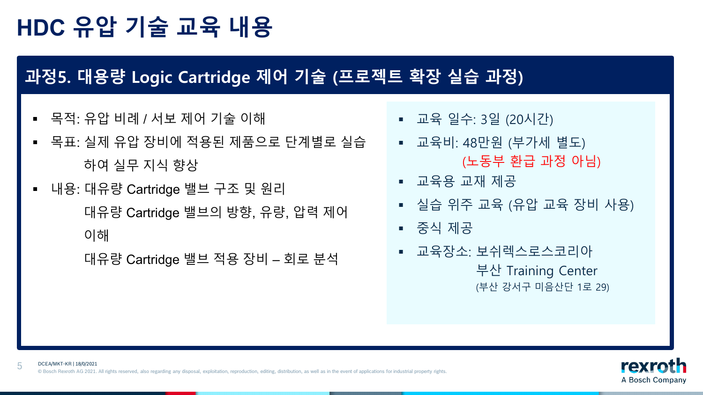#### **과정5. 대용량 Logic Cartridge 제어 기술 (프로젝트 확장 실습 과정)**

- 목적: 유압 비례 / 서보 제어 기술 이해
- 목표: 실제 유압 장비에 적용된 제품으로 단계별로 실습 하여 실무 지식 향상
- 내용: 대유량 Cartridge 밸브 구조 및 원리 대유량 Cartridge 밸브의 방향, 유량, 압력 제어 이해

대유량 Cartridge 밸브 적용 장비 – 회로 분석

- 교육 일수: 3일 (20시간)
- 교육비: 48만원 (부가세 별도) (노동부 환급 과정 아님)
- 교육용 교재 제공
- 실습 위주 교육 (유압 교육 장비 사용)
- 중식 제공
	- 교육장소: 보쉬렉스로스코리아 부산 Training Center (부산 강서구 미음산단 1로 29)